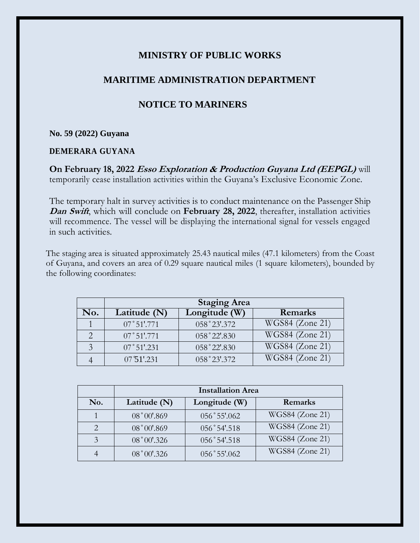## **MINISTRY OF PUBLIC WORKS**

### **MARITIME ADMINISTRATION DEPARTMENT**

# **NOTICE TO MARINERS**

#### **No. 59 (2022) Guyana**

### **DEMERARA GUYANA**

**On February 18, 2022 Esso Exploration & Production Guyana Ltd (EEPGL)** will temporarily cease installation activities within the Guyana's Exclusive Economic Zone.

The temporary halt in survey activities is to conduct maintenance on the Passenger Ship **Dan Swift**, which will conclude on **February 28, 2022**, thereafter, installation activities will recommence. The vessel will be displaying the international signal for vessels engaged in such activities.

The staging area is situated approximately 25.43 nautical miles (47.1 kilometers) from the Coast of Guyana, and covers an area of 0.29 square nautical miles (1 square kilometers), bounded by the following coordinates:

|     | <b>Staging Area</b> |               |                   |
|-----|---------------------|---------------|-------------------|
| No. | Latitude (N)        | Longitude (W) | Remarks           |
|     | 07°51'.771          | 058°23'.372   | $WGS84$ (Zone 21) |
|     | 07°51'.771          | 058°22'.830   | WGS84 (Zone 21)   |
|     | 07°51'.231          | 058°22'.830   | $WGS84$ (Zone 21) |
|     | 07 51'.231          | 058°23'.372   | WGS84 (Zone 21)   |

|     | <b>Installation Area</b> |                |                 |
|-----|--------------------------|----------------|-----------------|
| No. | Latitude (N)             | Longitude (W)  | Remarks         |
|     | 08°00'.869               | 056°55'.062    | WGS84 (Zone 21) |
|     | 08°00'.869               | $056°54'$ .518 | WGS84 (Zone 21) |
|     | 08° 00'.326              | 056°54'.518    | WGS84 (Zone 21) |
|     | $08°00'$ .326            | 056°55'.062    | WGS84 (Zone 21) |